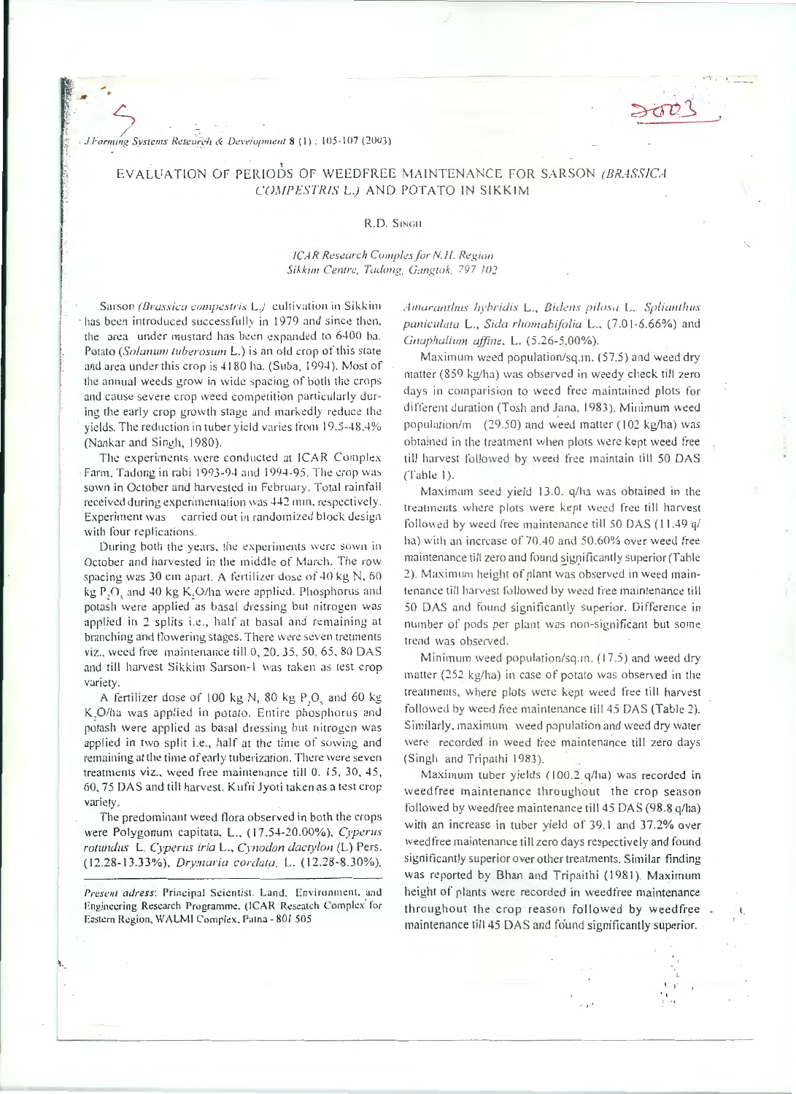J.Farming Systems Research & Development 8 (1): 105-107 (2003)

## EVALUATION OF PERIODS OF WEEDFREE MAINTENANCE FOR SARSON (BRASSICA COMPESTRIS L.) AND POTATO IN SIKKIM

## R.D. SINGH

## ICAR Research Comples for N.H. Region Sikkim Centre, Tadong, Gangtok, 797 102

Sarson (Brassica compestris L.) cultivation in Sikkim has been introduced successfully in 1979 and since then, the area under mustard has been expanded to 6400 ha. Potato (Solanum tuberosum L.) is an old crop of this state and area under this crop is 4180 ha. (Suba, 1994). Most of the annual weeds grow in wide spacing of both the crops and cause severe crop weed competition particularly during the early crop growth stage and markedly reduce the yields. The reduction in tuber yield varies from 19.5-48.4% (Nankar and Singh, 1980).

The experiments were conducted at ICAR Complex Farm, Tadong in rabi 1993-94 and 1994-95. The crop was sown in October and harvested in February. Total rainfall received during experimentation was 442 mm, respectively. Experiment was carried out in randomized block design with four replications.

During both the years, the experiments were sown in October and harvested in the middle of March. The row spacing was 30 cm apart. A fertilizer dose of 40 kg N, 60 kg P,O, and 40 kg K,O/ha were applied. Phosphorus and potash were applied as basal dressing but nitrogen was applied in 2 splits i.e., half at basal and remaining at branching and flowering stages. There were seven tretments viz., weed free maintenance till 0, 20, 35, 50, 65, 80 DAS and till harvest Sikkim Sarson-1 was taken as test crop variety.

A fertilizer dose of 100 kg N, 80 kg P,O, and 60 kg K, O/ha was applied in potato. Entire phosphorus and potash were applied as basal dressing but nitrogen was applied in two split i.e., half at the time of sowing and remaining at the time of early tuberization. There were seven treatments viz., weed free maintenance till 0. 15, 30, 45, 60, 75 DAS and till harvest. Kufri Jyoti taken as a test crop variety.

The predominant weed flora observed in both the crops were Polygonum capitata, L., (17.54-20.00%), Cyperus rotundus L. Cyperus iria L., Cynodon dactylon (L) Pers. (12.28-13.33%), Drymaria cordata, L. (12.28-8.30%),

Present adress: Principal Scientist, Land, Environment, and Engineering Research Programme, (ICAR Reseatch Complex for Eastern Region, WALMI Complex, Patna - 801 505

Amaranthus hybridis L., Bidens pilosa L. Splianthus paniculata L., Sida rhomabifolia L., (7.01-6.66%) and Gnaphalium affine, L. (5.26-5.00%).

Maximum weed population/sq.m. (57.5) and weed dry matter (859 kg/ha) was observed in weedy check till zero days in comparision to weed free maintained plots for different duration (Tosh and Jana, 1983). Minimum weed population/m (29.50) and weed matter (102 kg/ha) was obtained in the treatment when plots were kept weed free till harvest followed by weed free maintain till 50 DAS  $(Table 1).$ 

Maximum seed yield 13.0. q/ha was obtained in the treatments where plots were kept weed free till harvest followed by weed free maintenance till 50 DAS (11.49 q/ ha) with an increase of 70.40 and 50.60% over weed free maintenance till zero and found significantly superior (Table 2). Maximum height of plant was observed in weed maintenance till harvest followed by weed free maintenance till 50 DAS and found significantly superior. Difference in number of pods per plant was non-significant but some trend was observed.

Minimum weed population/sq.m. (17.5) and weed dry matter (252 kg/ha) in case of potato was observed in the treatments, where plots were kept weed free till harvest followed by weed free maintenance till 45 DAS (Table 2). Similarly, maximum weed population and weed dry water were recorded in weed free maintenance till zero days (Singh and Tripathi 1983).

Maximum tuber yields (100.2 q/ha) was recorded in weedfree maintenance throughout the crop season followed by weedfree maintenance till 45 DAS (98.8 q/ha) with an increase in tuber yield of 39.1 and 37.2% over weedfree maintenance till zero days respectively and found significantly superior over other treatments. Similar finding was reported by Bhan and Tripaithi (1981). Maximum height of plants were recorded in weedfree maintenance throughout the crop reason followed by weedfree maintenance till 45 DAS and found significantly superior.

ŧ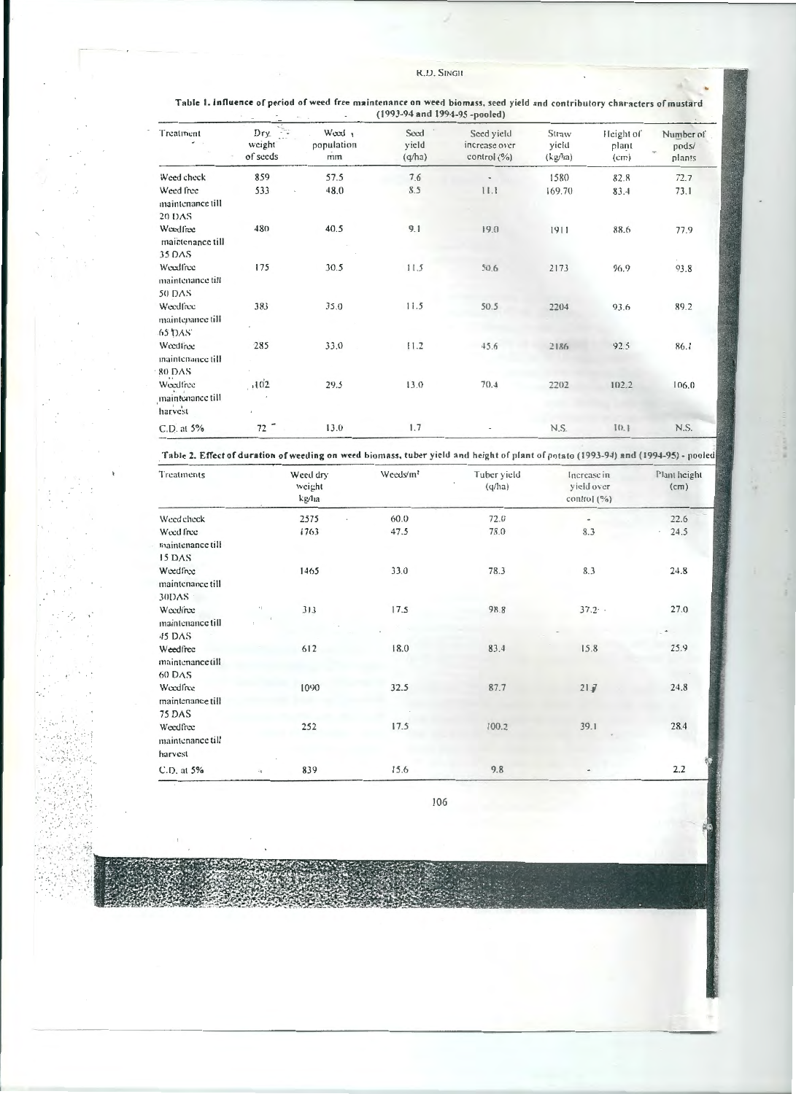| Treatment                               | 독<br>Dry<br>weight<br>of seeds | Weed 1<br>population<br>mm | Seed<br>yield<br>(q/ha) | Seed yield<br>increase over<br>control $(\%$ ) | Straw<br>yield<br>(kp/ha) | Height of<br>plant<br>(cm) | Number of<br>pods/<br>÷<br>plants |
|-----------------------------------------|--------------------------------|----------------------------|-------------------------|------------------------------------------------|---------------------------|----------------------------|-----------------------------------|
| Weed check                              | 859                            | 57.5                       | 7.6                     | $\blacksquare$                                 | 1580                      | 82.8                       | 72.7                              |
| Weed free<br>maintenance till           | 533                            | 48.0                       | 8.5                     | 11.1                                           | 169.70                    | 83.4                       | 73.1                              |
| <b>20 DAS</b>                           |                                |                            |                         |                                                |                           |                            |                                   |
| Weedfree<br>maintenance till            | 480                            | 40.5                       | 9.1                     | 19.0                                           | 1911                      | 88.6                       | 77.9                              |
| 35 DAS                                  |                                |                            |                         |                                                |                           |                            | ×.                                |
| Weedfree<br>maintenance till            | 175                            | 30.5                       | 11.5                    | 50.6                                           | 2173                      | 96.9                       | 93.8                              |
| 50 DAS                                  |                                |                            |                         |                                                |                           |                            |                                   |
| Weedfree<br>maintenance till<br>65 DAS  | 383                            | 35.0                       | 11.5                    | 50.5                                           | 2204                      | 93.6                       | 89.2                              |
| Weedfree<br>maintenance till            | 285                            | 33.0                       | 11.2                    | 45.6                                           | 2186                      | 92.5                       | 86.1                              |
| 80 DAS                                  |                                |                            |                         |                                                |                           |                            |                                   |
| Weedfree<br>maintenance till<br>harvest | .102                           | 29.5                       | 13.0                    | 70.4                                           | 2202                      | 102.2                      | 106.0                             |
| C.D. at 5%                              | $72 -$                         | 13.0                       | 1.7                     |                                                | N.S.                      | [0.1]                      | N.S.                              |

Table 1. Influence of period of weed free maintenance on weed biomass, seed yield and contributory characters of mustard (1993-94 and 1994-95 -pooled)

Table 2. Effect of duration of weeding on weed biomass, tuber yield and height of plant of potato (1993-94) and (1994-95) - pooled

| Treatments                              |                        | Weed dry<br>weight<br>kg/ha | Weeds/m <sup>2</sup> | Tuber yield<br>(q/ha) | Increase in<br>yield over<br>control $(\%)$ | Plant height<br>(cm) |
|-----------------------------------------|------------------------|-----------------------------|----------------------|-----------------------|---------------------------------------------|----------------------|
| Weed check                              |                        | 2575                        | 60.0                 | 72.0                  |                                             | 22.6                 |
| Weed free<br>maintenance till           |                        | 1763                        | 47.5                 | 78.0                  | 8.3                                         | 24.5                 |
| 15 DAS                                  |                        |                             |                      |                       |                                             |                      |
| Weedfree<br>maintenance till            |                        | 1465                        | 33.0                 | 78.3                  | 8.3                                         | 24.8                 |
| 30DAS :                                 |                        |                             |                      |                       |                                             |                      |
| Weedfree<br>maintenance till            | $\left  \cdot \right $ | 313                         | 17.5                 | 98.8                  | 37.2.                                       | 27.0                 |
| 45 DAS                                  |                        |                             |                      |                       |                                             |                      |
| Weedfree                                |                        | 612                         | 18.0                 | 83.4                  | 15.8                                        | 25.9                 |
| maintenance till                        |                        |                             |                      |                       |                                             |                      |
| 60 DAS                                  |                        |                             |                      |                       |                                             |                      |
| Weedfree                                |                        | 1090                        | 32.5                 | 87.7                  | 21J                                         | 24.8                 |
| maintenance till                        |                        |                             |                      |                       |                                             |                      |
| 75 DAS                                  |                        |                             |                      |                       |                                             |                      |
| Weedfree<br>maintenance till<br>harvest |                        | 252                         | 17.5                 | 100.2                 | 39.1                                        | 28.4                 |
| C.D. at 5%                              | $\alpha_1^2$           | 839                         | 15.6                 | 9.8                   |                                             | 2.2                  |

106